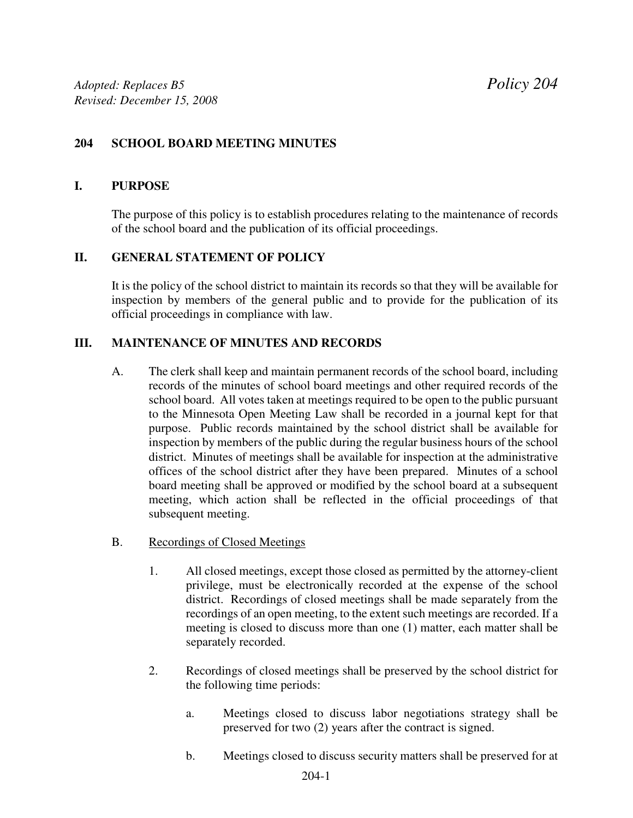# **204 SCHOOL BOARD MEETING MINUTES**

#### **I. PURPOSE**

The purpose of this policy is to establish procedures relating to the maintenance of records of the school board and the publication of its official proceedings.

## **II. GENERAL STATEMENT OF POLICY**

It is the policy of the school district to maintain its records so that they will be available for inspection by members of the general public and to provide for the publication of its official proceedings in compliance with law.

#### **III. MAINTENANCE OF MINUTES AND RECORDS**

- A. The clerk shall keep and maintain permanent records of the school board, including records of the minutes of school board meetings and other required records of the school board. All votes taken at meetings required to be open to the public pursuant to the Minnesota Open Meeting Law shall be recorded in a journal kept for that purpose. Public records maintained by the school district shall be available for inspection by members of the public during the regular business hours of the school district. Minutes of meetings shall be available for inspection at the administrative offices of the school district after they have been prepared. Minutes of a school board meeting shall be approved or modified by the school board at a subsequent meeting, which action shall be reflected in the official proceedings of that subsequent meeting.
- B. Recordings of Closed Meetings
	- 1. All closed meetings, except those closed as permitted by the attorney-client privilege, must be electronically recorded at the expense of the school district. Recordings of closed meetings shall be made separately from the recordings of an open meeting, to the extent such meetings are recorded. If a meeting is closed to discuss more than one (1) matter, each matter shall be separately recorded.
	- 2. Recordings of closed meetings shall be preserved by the school district for the following time periods:
		- a. Meetings closed to discuss labor negotiations strategy shall be preserved for two (2) years after the contract is signed.
		- b. Meetings closed to discuss security matters shall be preserved for at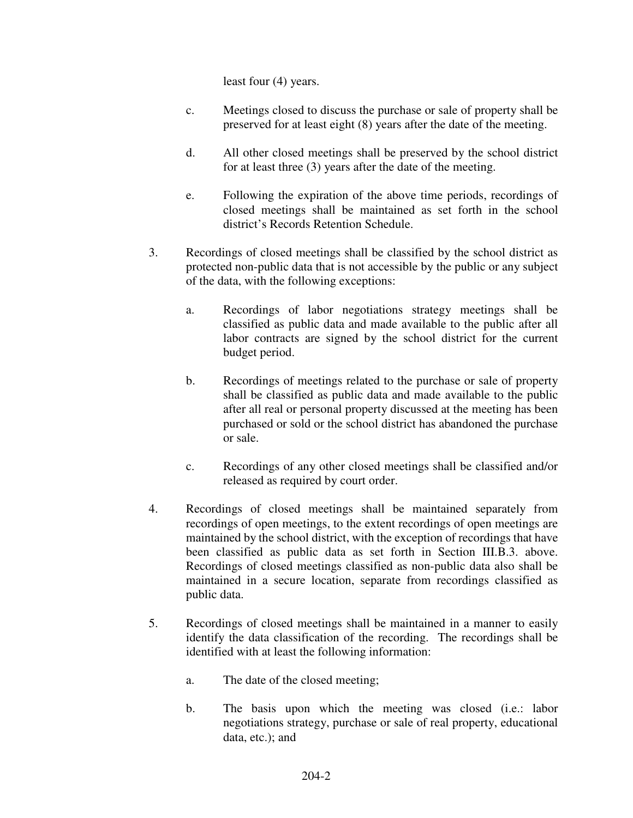least four (4) years.

- c. Meetings closed to discuss the purchase or sale of property shall be preserved for at least eight (8) years after the date of the meeting.
- d. All other closed meetings shall be preserved by the school district for at least three (3) years after the date of the meeting.
- e. Following the expiration of the above time periods, recordings of closed meetings shall be maintained as set forth in the school district's Records Retention Schedule.
- 3. Recordings of closed meetings shall be classified by the school district as protected non-public data that is not accessible by the public or any subject of the data, with the following exceptions:
	- a. Recordings of labor negotiations strategy meetings shall be classified as public data and made available to the public after all labor contracts are signed by the school district for the current budget period.
	- b. Recordings of meetings related to the purchase or sale of property shall be classified as public data and made available to the public after all real or personal property discussed at the meeting has been purchased or sold or the school district has abandoned the purchase or sale.
	- c. Recordings of any other closed meetings shall be classified and/or released as required by court order.
- 4. Recordings of closed meetings shall be maintained separately from recordings of open meetings, to the extent recordings of open meetings are maintained by the school district, with the exception of recordings that have been classified as public data as set forth in Section III.B.3. above. Recordings of closed meetings classified as non-public data also shall be maintained in a secure location, separate from recordings classified as public data.
- 5. Recordings of closed meetings shall be maintained in a manner to easily identify the data classification of the recording. The recordings shall be identified with at least the following information:
	- a. The date of the closed meeting;
	- b. The basis upon which the meeting was closed (i.e.: labor negotiations strategy, purchase or sale of real property, educational data, etc.); and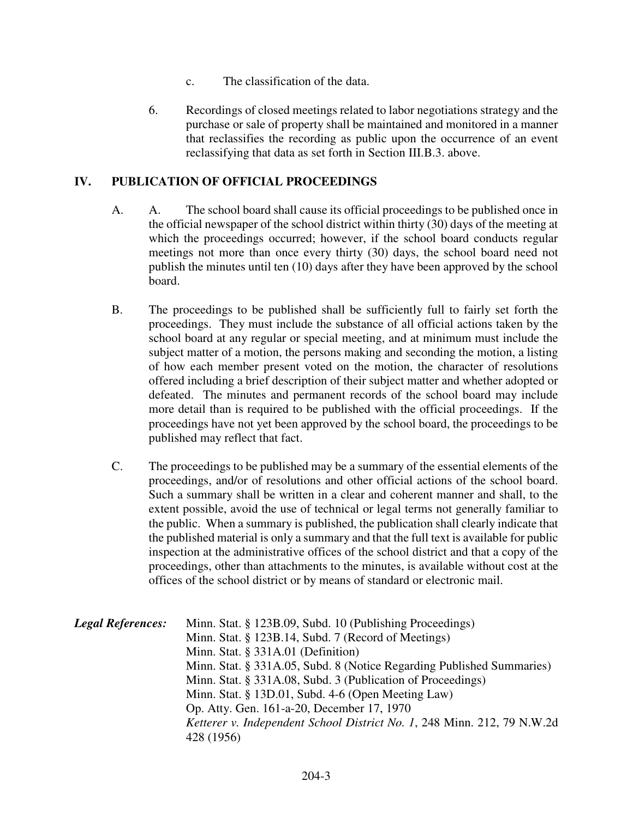- c. The classification of the data.
- 6. Recordings of closed meetings related to labor negotiations strategy and the purchase or sale of property shall be maintained and monitored in a manner that reclassifies the recording as public upon the occurrence of an event reclassifying that data as set forth in Section III.B.3. above.

## **IV. PUBLICATION OF OFFICIAL PROCEEDINGS**

- A. A. The school board shall cause its official proceedings to be published once in the official newspaper of the school district within thirty (30) days of the meeting at which the proceedings occurred; however, if the school board conducts regular meetings not more than once every thirty (30) days, the school board need not publish the minutes until ten (10) days after they have been approved by the school board.
- B. The proceedings to be published shall be sufficiently full to fairly set forth the proceedings. They must include the substance of all official actions taken by the school board at any regular or special meeting, and at minimum must include the subject matter of a motion, the persons making and seconding the motion, a listing of how each member present voted on the motion, the character of resolutions offered including a brief description of their subject matter and whether adopted or defeated. The minutes and permanent records of the school board may include more detail than is required to be published with the official proceedings. If the proceedings have not yet been approved by the school board, the proceedings to be published may reflect that fact.
- C. The proceedings to be published may be a summary of the essential elements of the proceedings, and/or of resolutions and other official actions of the school board. Such a summary shall be written in a clear and coherent manner and shall, to the extent possible, avoid the use of technical or legal terms not generally familiar to the public. When a summary is published, the publication shall clearly indicate that the published material is only a summary and that the full text is available for public inspection at the administrative offices of the school district and that a copy of the proceedings, other than attachments to the minutes, is available without cost at the offices of the school district or by means of standard or electronic mail.

| <b>Legal References:</b> | Minn. Stat. § 123B.09, Subd. 10 (Publishing Proceedings)                |
|--------------------------|-------------------------------------------------------------------------|
|                          | Minn. Stat. § 123B.14, Subd. 7 (Record of Meetings)                     |
|                          | Minn. Stat. § 331A.01 (Definition)                                      |
|                          | Minn. Stat. § 331A.05, Subd. 8 (Notice Regarding Published Summaries)   |
|                          | Minn. Stat. § 331A.08, Subd. 3 (Publication of Proceedings)             |
|                          | Minn. Stat. § 13D.01, Subd. 4-6 (Open Meeting Law)                      |
|                          | Op. Atty. Gen. 161-a-20, December 17, 1970                              |
|                          | Ketterer v. Independent School District No. 1, 248 Minn. 212, 79 N.W.2d |
|                          | 428 (1956)                                                              |